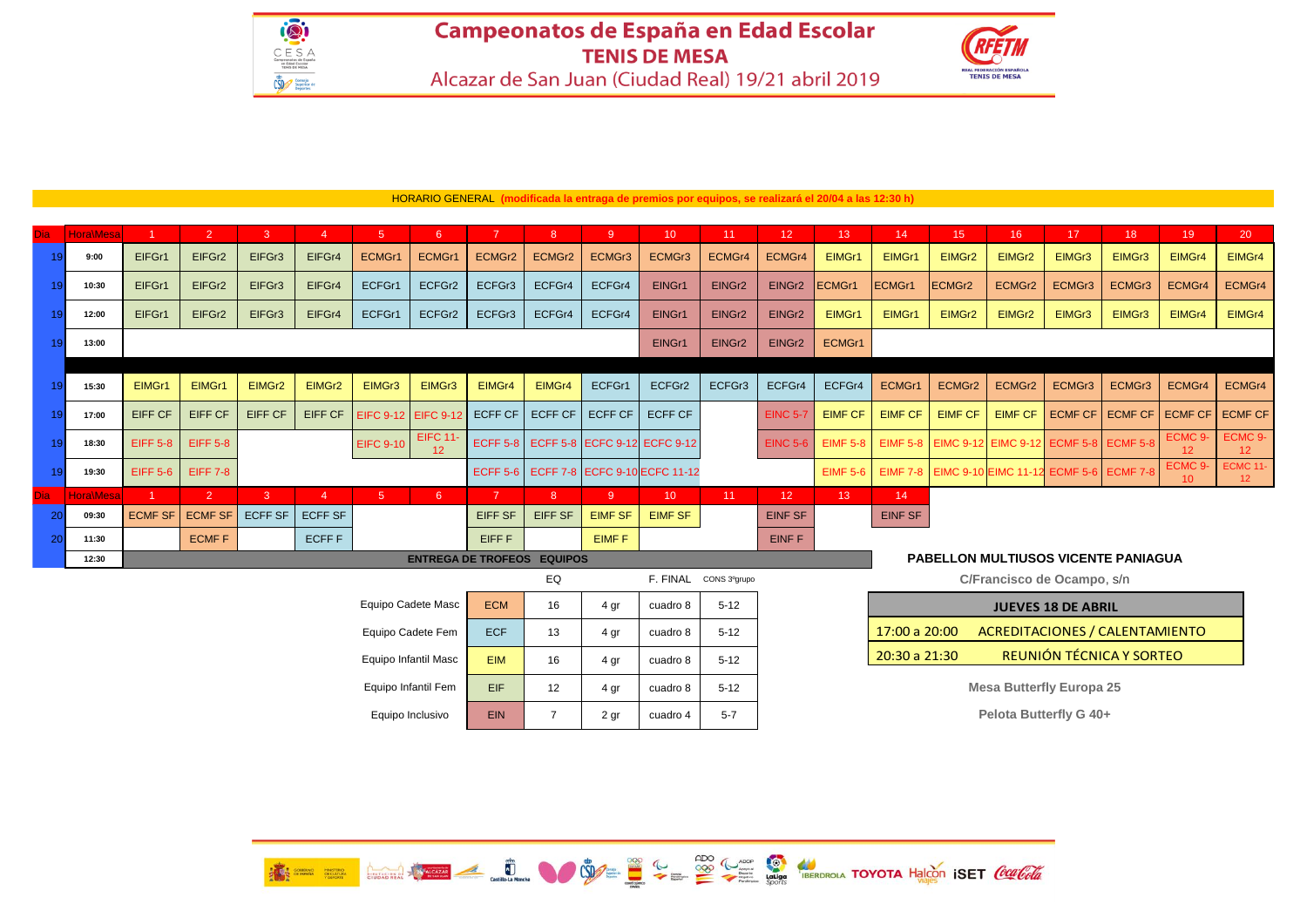## Campeonatos de España en Edad Escolar **TENIS DE MESA** Alcazar de San Juan (Ciudad Real) 19/21 abril 2019



| <b>Dia</b>                                     | <b>Hora</b> Mesa |                                                                                           | 2               | 3              | 4              | 5                | $6^{\circ}$           |                 | 8        | -9.            | 10 <sup>°</sup>                       | 11 <sup>1</sup> | 12 <sup>°</sup>            | 13 <sup>°</sup>           | 14             | 15 <sup>2</sup> | 16 <sup>°</sup> | 17                                                     | 18 <sup>°</sup> | 19                        | 20                                 |
|------------------------------------------------|------------------|-------------------------------------------------------------------------------------------|-----------------|----------------|----------------|------------------|-----------------------|-----------------|----------|----------------|---------------------------------------|-----------------|----------------------------|---------------------------|----------------|-----------------|-----------------|--------------------------------------------------------|-----------------|---------------------------|------------------------------------|
|                                                | 9:00             | EIFGr1                                                                                    | EIFGr2          | EIFGr3         | EIFGr4         | ECMGr1           | ECMGr1                | ECMGr2          | ECMGr2   | ECMGr3         | ECMGr3                                | ECMGr4          | ECMGr4                     | EIMGr1                    | EIMGr1         | EIMGr2          | EIMGr2          | EIMGr3                                                 | EIMGr3          | EIMGr4                    | EIMGr4                             |
|                                                | 10:30            | EIFGr1                                                                                    | EIFGr2          | EIFGr3         | EIFGr4         | ECFGr1           | ECFGr2                | ECFGr3          | ECFGr4   | ECFGr4         | EINGr1                                | EINGr2          | EINGr2                     | <b>ECMGr1</b>             | ECMGr1         | ECMGr2          | ECMGr2          | ECMGr3                                                 | ECMGr3          | ECMGr4                    | ECMGr4                             |
|                                                | 12:00            | EIFGr1                                                                                    | EIFGr2          | EIFGr3         | EIFGr4         | ECFGr1           | ECFGr2                | ECFGr3          | ECFGr4   | ECFGr4         | EINGr1                                | EINGr2          | EINGr2                     | EIMGr1                    | EIMGr1         | EIMGr2          | EIMGr2          | EIMGr3                                                 | EIMGr3          | EIMGr4                    | EIMGr4                             |
|                                                | 13:00            |                                                                                           |                 |                |                |                  |                       |                 |          |                | EINGr1                                | EINGr2          | EINGr2                     | ECMGr1                    |                |                 |                 |                                                        |                 |                           |                                    |
|                                                |                  |                                                                                           |                 |                |                |                  |                       |                 |          |                |                                       |                 |                            |                           |                |                 |                 |                                                        |                 |                           |                                    |
|                                                | 15:30            | EIMGr1                                                                                    | EIMGr1          | EIMGr2         | EIMGr2         | EIMGr3           | EIMGr3                | EIMGr4          | EIMGr4   | ECFGr1         | ECFGr2                                | ECFGr3          | ECFGr4                     | ECFGr4                    | ECMGr1         | ECMGr2          | ECMGr2          | ECMGr3                                                 | ECMGr3          | ECMGr4                    | ECMGr4                             |
|                                                | 17:00            | <b>EIFF CF</b>                                                                            | <b>EIFF CF</b>  | <b>EIFF CF</b> | <b>EIFF CF</b> | <b>EIFC 9-12</b> | EIFC 9-12 ECFF CF     |                 | ECFF CF  | <b>ECFF CF</b> | <b>ECFF CF</b>                        |                 | <b>EINC 5-7</b>            | <b>EIMF CF</b>            | <b>EIMF CF</b> | <b>EIMF CF</b>  | <b>EIMF CF</b>  | <b>ECMF CF</b>                                         | <b>ECMF CF</b>  | <b>ECMF CF</b>            | <b>ECMF CF</b>                     |
|                                                | 18:30            | <b>EIFF 5-8</b>                                                                           | <b>EIFF 5-8</b> |                |                | <b>EIFC 9-10</b> | <b>EIFC 11-</b><br>12 |                 |          |                | ECFF 5-8 ECFF 5-8 ECFC 9-12 ECFC 9-12 |                 | <b>EINC 5-6</b>            | <b>EIMF 5-8</b>           |                |                 |                 | EIMF 5-8   EIMC 9-12   EIMC 9-12   ECMF 5-8   ECMF 5-8 |                 | ECMC 9-<br>12             | ECMC 9-<br>12 <sup>°</sup>         |
|                                                | 19:30            | <b>EIFF 5-6</b>                                                                           | <b>EIFF 7-8</b> |                |                |                  |                       | <b>ECFF 5-6</b> |          |                | ECFF 7-8 ECFC 9-10 ECFC 11-12         |                 |                            | <b>EIMF 5-6</b>           |                |                 |                 | EIMF 7-8   EIMC 9-10 EIMC 11-12 ECMF 5-6   ECMF 7-8    |                 | ECMC <sub>9</sub> -<br>10 | <b>ECMC 11-</b><br>12 <sup>2</sup> |
| <b>Dia</b>                                     | <b>Hora</b> Wesa |                                                                                           | -2              | $\mathbf{3}$   | $\overline{4}$ | 5 <sup>5</sup>   | $6^{\circ}$           | $\overline{7}$  | 8        | -9.            | 10 <sup>°</sup>                       | 11              | 12 <sup>°</sup>            | 13 <sup>°</sup>           | 14             |                 |                 |                                                        |                 |                           |                                    |
| 20                                             | 09:30            | <b>ECMF SF</b>                                                                            | <b>ECMF SF</b>  | <b>ECFF SF</b> | <b>ECFF SF</b> |                  |                       | <b>EIFF SF</b>  | EIFF SF  | <b>EIMF SF</b> | <b>EIMF SF</b>                        |                 | <b>EINF SF</b>             |                           | EINF SF        |                 |                 |                                                        |                 |                           |                                    |
| 20                                             | 11:30            |                                                                                           | <b>ECMFF</b>    |                | ECFF F         |                  |                       | EIFF F          |          | EIMF F         |                                       |                 | <b>EINFF</b>               |                           |                |                 |                 |                                                        |                 |                           |                                    |
|                                                | 12:30            | <b>PABELLON MULTIUSOS VICENTE PANIAGUA</b><br><b>ENTREGA DE TROFEOS</b><br><b>EQUIPOS</b> |                 |                |                |                  |                       |                 |          |                |                                       |                 |                            |                           |                |                 |                 |                                                        |                 |                           |                                    |
| EQ                                             |                  |                                                                                           |                 |                |                |                  |                       |                 | F. FINAL | CONS 3°grupo   |                                       |                 | C/Francisco de Ocampo, s/n |                           |                |                 |                 |                                                        |                 |                           |                                    |
| Equipo Cadete Masc<br><b>ECM</b><br>16<br>4 gr |                  |                                                                                           |                 |                |                |                  |                       |                 |          | cuadro 8       | $5 - 12$                              |                 |                            | <b>JUEVES 18 DE ABRIL</b> |                |                 |                 |                                                        |                 |                           |                                    |

| <b>JUEVES 18 DE ABRIL</b> |                                |  |  |  |  |  |  |  |
|---------------------------|--------------------------------|--|--|--|--|--|--|--|
| 17:00 a 20:00             | ACREDITACIONES / CALENTAMIENTO |  |  |  |  |  |  |  |
| 20:30a21:30               | REUNIÓN TÉCNICA Y SORTEO       |  |  |  |  |  |  |  |
|                           |                                |  |  |  |  |  |  |  |

Equipo Infantil Fem EIF 12 4gr | cuadro 8 | 5-12 | Cuadro 1 | September 10 | Mesa Butterfly Europa 25

**TENIS DE MESA** 

**Pelota Butterfly G 40+**



ECF 13 4 gr cuadro 8 5-12 **EIM** 16 4gr cuadro 8 5-12 **EIF** 12 4 gr cuadro 8 5-12

Equipo Inclusivo EIN 7 2 gr cuadro 4 5-7

Equipo Cadete Fem Equipo Infantil Masc